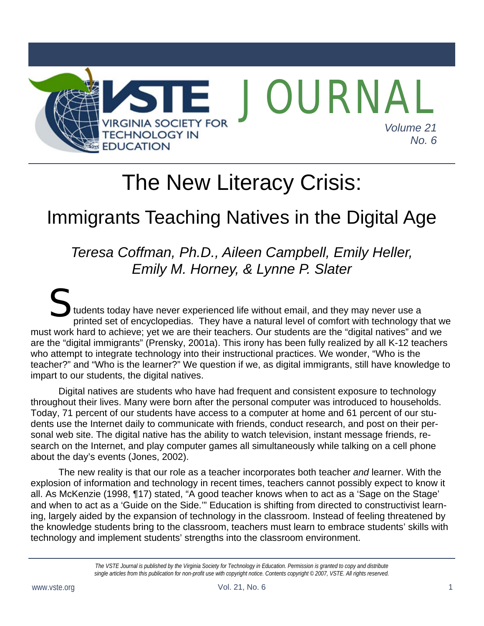

# The New Literacy Crisis:

## Immigrants Teaching Natives in the Digital Age

## *Teresa Coffman, Ph.D., Aileen Campbell, Emily Heller, Emily M. Horney, & Lynne P. Slater*

tudents today have never experienced life without email, and they may never use a printed set of encyclopedias. They have a natural level of comfort with technology that we must work hard to achieve; yet we are their teachers. Our students are the "digital natives" and we are the "digital immigrants" (Prensky, 2001a). This irony has been fully realized by all K-12 teachers who attempt to integrate technology into their instructional practices. We wonder, "Who is the teacher?" and "Who is the learner?" We question if we, as digital immigrants, still have knowledge to impart to our students, the digital natives.  $S_{\text{tuder}}$ 

Digital natives are students who have had frequent and consistent exposure to technology throughout their lives. Many were born after the personal computer was introduced to households. Today, 71 percent of our students have access to a computer at home and 61 percent of our students use the Internet daily to communicate with friends, conduct research, and post on their personal web site. The digital native has the ability to watch television, instant message friends, research on the Internet, and play computer games all simultaneously while talking on a cell phone about the day's events (Jones, 2002).

The new reality is that our role as a teacher incorporates both teacher *and* learner. With the explosion of information and technology in recent times, teachers cannot possibly expect to know it all. As McKenzie (1998, ¶17) stated, "A good teacher knows when to act as a 'Sage on the Stage' and when to act as a 'Guide on the Side.'" Education is shifting from directed to constructivist learning, largely aided by the expansion of technology in the classroom. Instead of feeling threatened by the knowledge students bring to the classroom, teachers must learn to embrace students' skills with technology and implement students' strengths into the classroom environment.

> *The VSTE Journal is published by the Virginia Society for Technology in Education. Permission is granted to copy and distribute single articles from this publication for non-profit use with copyright notice. Contents copyright © 2007, VSTE. All rights reserved.*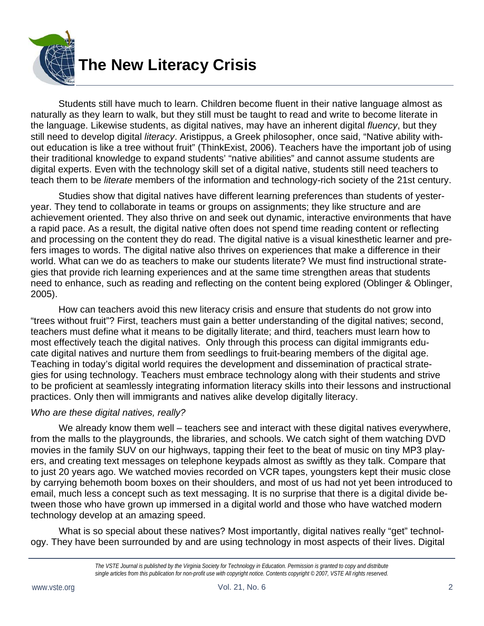

Students still have much to learn. Children become fluent in their native language almost as naturally as they learn to walk, but they still must be taught to read and write to become literate in the language. Likewise students, as digital natives, may have an inherent digital *fluency*, but they still need to develop digital *literacy*. Aristippus, a Greek philosopher, once said, "Native ability without education is like a tree without fruit" (ThinkExist, 2006). Teachers have the important job of using their traditional knowledge to expand students' "native abilities" and cannot assume students are digital experts. Even with the technology skill set of a digital native, students still need teachers to teach them to be *literate* members of the information and technology-rich society of the 21st century.

Studies show that digital natives have different learning preferences than students of yesteryear. They tend to collaborate in teams or groups on assignments; they like structure and are achievement oriented. They also thrive on and seek out dynamic, interactive environments that have a rapid pace. As a result, the digital native often does not spend time reading content or reflecting and processing on the content they do read. The digital native is a visual kinesthetic learner and prefers images to words. The digital native also thrives on experiences that make a difference in their world. What can we do as teachers to make our students literate? We must find instructional strategies that provide rich learning experiences and at the same time strengthen areas that students need to enhance, such as reading and reflecting on the content being explored (Oblinger & Oblinger, 2005).

How can teachers avoid this new literacy crisis and ensure that students do not grow into "trees without fruit"? First, teachers must gain a better understanding of the digital natives; second, teachers must define what it means to be digitally literate; and third, teachers must learn how to most effectively teach the digital natives. Only through this process can digital immigrants educate digital natives and nurture them from seedlings to fruit-bearing members of the digital age. Teaching in today's digital world requires the development and dissemination of practical strategies for using technology. Teachers must embrace technology along with their students and strive to be proficient at seamlessly integrating information literacy skills into their lessons and instructional practices. Only then will immigrants and natives alike develop digitally literacy.

#### *Who are these digital natives, really?*

We already know them well – teachers see and interact with these digital natives everywhere, from the malls to the playgrounds, the libraries, and schools. We catch sight of them watching DVD movies in the family SUV on our highways, tapping their feet to the beat of music on tiny MP3 players, and creating text messages on telephone keypads almost as swiftly as they talk. Compare that to just 20 years ago. We watched movies recorded on VCR tapes, youngsters kept their music close by carrying behemoth boom boxes on their shoulders, and most of us had not yet been introduced to email, much less a concept such as text messaging. It is no surprise that there is a digital divide between those who have grown up immersed in a digital world and those who have watched modern technology develop at an amazing speed.

What is so special about these natives? Most importantly, digital natives really "get" technology. They have been surrounded by and are using technology in most aspects of their lives. Digital

*The VSTE Journal is published by the Virginia Society for Technology in Education. Permission is granted to copy and distribute single articles from this publication for non-profit use with copyright notice. Contents copyright © 2007, VSTE All rights reserved.*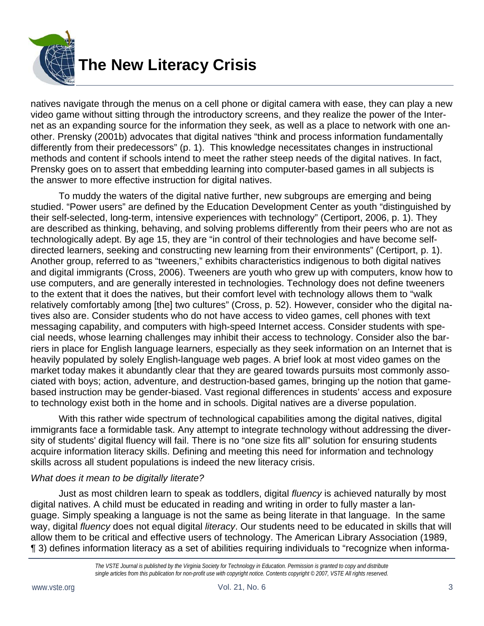

natives navigate through the menus on a cell phone or digital camera with ease, they can play a new video game without sitting through the introductory screens, and they realize the power of the Internet as an expanding source for the information they seek, as well as a place to network with one another. Prensky (2001b) advocates that digital natives "think and process information fundamentally differently from their predecessors" (p. 1). This knowledge necessitates changes in instructional methods and content if schools intend to meet the rather steep needs of the digital natives. In fact, Prensky goes on to assert that embedding learning into computer-based games in all subjects is the answer to more effective instruction for digital natives.

To muddy the waters of the digital native further, new subgroups are emerging and being studied. "Power users" are defined by the Education Development Center as youth "distinguished by their self-selected, long-term, intensive experiences with technology" (Certiport, 2006, p. 1). They are described as thinking, behaving, and solving problems differently from their peers who are not as technologically adept. By age 15, they are "in control of their technologies and have become selfdirected learners, seeking and constructing new learning from their environments" (Certiport, p. 1). Another group, referred to as "tweeners," exhibits characteristics indigenous to both digital natives and digital immigrants (Cross, 2006). Tweeners are youth who grew up with computers, know how to use computers, and are generally interested in technologies. Technology does not define tweeners to the extent that it does the natives, but their comfort level with technology allows them to "walk relatively comfortably among [the] two cultures" (Cross, p. 52). However, consider who the digital natives also are. Consider students who do not have access to video games, cell phones with text messaging capability, and computers with high-speed Internet access. Consider students with special needs, whose learning challenges may inhibit their access to technology. Consider also the barriers in place for English language learners, especially as they seek information on an Internet that is heavily populated by solely English-language web pages. A brief look at most video games on the market today makes it abundantly clear that they are geared towards pursuits most commonly associated with boys; action, adventure, and destruction-based games, bringing up the notion that gamebased instruction may be gender-biased. Vast regional differences in students' access and exposure to technology exist both in the home and in schools. Digital natives are a diverse population.

With this rather wide spectrum of technological capabilities among the digital natives, digital immigrants face a formidable task. Any attempt to integrate technology without addressing the diversity of students' digital fluency will fail. There is no "one size fits all" solution for ensuring students acquire information literacy skills. Defining and meeting this need for information and technology skills across all student populations is indeed the new literacy crisis.

#### *What does it mean to be digitally literate?*

Just as most children learn to speak as toddlers, digital *fluency* is achieved naturally by most digital natives. A child must be educated in reading and writing in order to fully master a language. Simply speaking a language is not the same as being literate in that language. In the same way, digital *fluency* does not equal digital *literacy*. Our students need to be educated in skills that will allow them to be critical and effective users of technology. The American Library Association (1989, ¶ 3) defines information literacy as a set of abilities requiring individuals to "recognize when informa-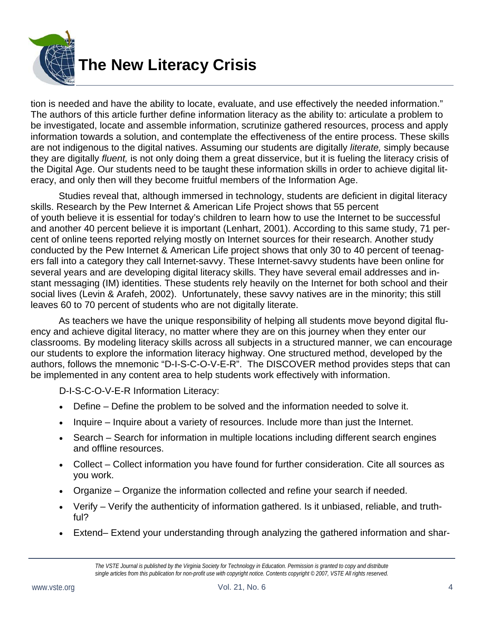

tion is needed and have the ability to locate, evaluate, and use effectively the needed information." The authors of this article further define information literacy as the ability to: articulate a problem to be investigated, locate and assemble information, scrutinize gathered resources, process and apply information towards a solution, and contemplate the effectiveness of the entire process. These skills are not indigenous to the digital natives. Assuming our students are digitally *literate,* simply because they are digitally *fluent,* is not only doing them a great disservice, but it is fueling the literacy crisis of the Digital Age. Our students need to be taught these information skills in order to achieve digital literacy, and only then will they become fruitful members of the Information Age.

Studies reveal that, although immersed in technology, students are deficient in digital literacy skills. Research by the Pew Internet & American Life Project shows that 55 percent of youth believe it is essential for today's children to learn how to use the Internet to be successful and another 40 percent believe it is important (Lenhart, 2001). According to this same study, 71 percent of online teens reported relying mostly on Internet sources for their research. Another study conducted by the Pew Internet & American Life project shows that only 30 to 40 percent of teenagers fall into a category they call Internet-savvy. These Internet-savvy students have been online for several years and are developing digital literacy skills. They have several email addresses and instant messaging (IM) identities. These students rely heavily on the Internet for both school and their social lives (Levin & Arafeh, 2002). Unfortunately, these savvy natives are in the minority; this still leaves 60 to 70 percent of students who are not digitally literate.

As teachers we have the unique responsibility of helping all students move beyond digital fluency and achieve digital literacy, no matter where they are on this journey when they enter our classrooms. By modeling literacy skills across all subjects in a structured manner, we can encourage our students to explore the information literacy highway. One structured method, developed by the authors, follows the mnemonic "D-I-S-C-O-V-E-R". The DISCOVER method provides steps that can be implemented in any content area to help students work effectively with information.

D-I-S-C-O-V-E-R Information Literacy:

- Define Define the problem to be solved and the information needed to solve it.
- Inquire Inquire about a variety of resources. Include more than just the Internet.
- Search Search for information in multiple locations including different search engines and offline resources.
- Collect Collect information you have found for further consideration. Cite all sources as you work.
- Organize Organize the information collected and refine your search if needed.
- Verify Verify the authenticity of information gathered. Is it unbiased, reliable, and truthful?
- Extend– Extend your understanding through analyzing the gathered information and shar-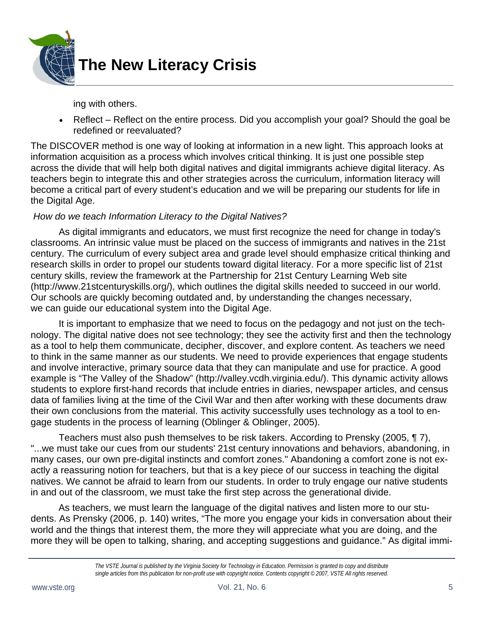

ing with others.

• Reflect – Reflect on the entire process. Did you accomplish your goal? Should the goal be redefined or reevaluated?

The DISCOVER method is one way of looking at information in a new light. This approach looks at information acquisition as a process which involves critical thinking. It is just one possible step across the divide that will help both digital natives and digital immigrants achieve digital literacy. As teachers begin to integrate this and other strategies across the curriculum, information literacy will become a critical part of every student's education and we will be preparing our students for life in the Digital Age.

#### *How do we teach Information Literacy to the Digital Natives?*

As digital immigrants and educators, we must first recognize the need for change in today's classrooms. An intrinsic value must be placed on the success of immigrants and natives in the 21st century. The curriculum of every subject area and grade level should emphasize critical thinking and research skills in order to propel our students toward digital literacy. For a more specific list of 21st century skills, review the framework at the Partnership for 21st Century Learning Web site (http://www.21stcenturyskills.org/), which outlines the digital skills needed to succeed in our world. Our schools are quickly becoming outdated and, by understanding the changes necessary, we can guide our educational system into the Digital Age.

It is important to emphasize that we need to focus on the pedagogy and not just on the technology. The digital native does not see technology; they see the activity first and then the technology as a tool to help them communicate, decipher, discover, and explore content. As teachers we need to think in the same manner as our students. We need to provide experiences that engage students and involve interactive, primary source data that they can manipulate and use for practice. A good example is "The Valley of the Shadow" (http://valley.vcdh.virginia.edu/). This dynamic activity allows students to explore first-hand records that include entries in diaries, newspaper articles, and census data of families living at the time of the Civil War and then after working with these documents draw their own conclusions from the material. This activity successfully uses technology as a tool to engage students in the process of learning (Oblinger & Oblinger, 2005).

Teachers must also push themselves to be risk takers. According to Prensky (2005, ¶ 7), "...we must take our cues from our students' 21st century innovations and behaviors, abandoning, in many cases, our own pre-digital instincts and comfort zones." Abandoning a comfort zone is not exactly a reassuring notion for teachers, but that is a key piece of our success in teaching the digital natives. We cannot be afraid to learn from our students. In order to truly engage our native students in and out of the classroom, we must take the first step across the generational divide.

As teachers, we must learn the language of the digital natives and listen more to our students. As Prensky (2006, p. 140) writes, "The more you engage your kids in conversation about their world and the things that interest them, the more they will appreciate what you are doing, and the more they will be open to talking, sharing, and accepting suggestions and guidance." As digital immi-

*The VSTE Journal is published by the Virginia Society for Technology in Education. Permission is granted to copy and distribute single articles from this publication for non-profit use with copyright notice. Contents copyright © 2007, VSTE All rights reserved.*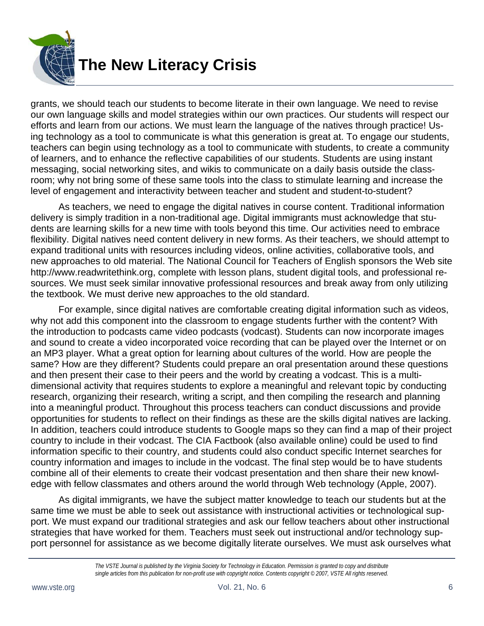

grants, we should teach our students to become literate in their own language. We need to revise our own language skills and model strategies within our own practices. Our students will respect our efforts and learn from our actions. We must learn the language of the natives through practice! Using technology as a tool to communicate is what this generation is great at. To engage our students, teachers can begin using technology as a tool to communicate with students, to create a community of learners, and to enhance the reflective capabilities of our students. Students are using instant messaging, social networking sites, and wikis to communicate on a daily basis outside the classroom; why not bring some of these same tools into the class to stimulate learning and increase the level of engagement and interactivity between teacher and student and student-to-student?

As teachers, we need to engage the digital natives in course content. Traditional information delivery is simply tradition in a non-traditional age. Digital immigrants must acknowledge that students are learning skills for a new time with tools beyond this time. Our activities need to embrace flexibility. Digital natives need content delivery in new forms. As their teachers, we should attempt to expand traditional units with resources including videos, online activities, collaborative tools, and new approaches to old material. The National Council for Teachers of English sponsors the Web site http://www.readwritethink.org, complete with lesson plans, student digital tools, and professional resources. We must seek similar innovative professional resources and break away from only utilizing the textbook. We must derive new approaches to the old standard.

For example, since digital natives are comfortable creating digital information such as videos, why not add this component into the classroom to engage students further with the content? With the introduction to podcasts came video podcasts (vodcast). Students can now incorporate images and sound to create a video incorporated voice recording that can be played over the Internet or on an MP3 player. What a great option for learning about cultures of the world. How are people the same? How are they different? Students could prepare an oral presentation around these questions and then present their case to their peers and the world by creating a vodcast. This is a multidimensional activity that requires students to explore a meaningful and relevant topic by conducting research, organizing their research, writing a script, and then compiling the research and planning into a meaningful product. Throughout this process teachers can conduct discussions and provide opportunities for students to reflect on their findings as these are the skills digital natives are lacking. In addition, teachers could introduce students to Google maps so they can find a map of their project country to include in their vodcast. The CIA Factbook (also available online) could be used to find information specific to their country, and students could also conduct specific Internet searches for country information and images to include in the vodcast. The final step would be to have students combine all of their elements to create their vodcast presentation and then share their new knowledge with fellow classmates and others around the world through Web technology (Apple, 2007).

As digital immigrants, we have the subject matter knowledge to teach our students but at the same time we must be able to seek out assistance with instructional activities or technological support. We must expand our traditional strategies and ask our fellow teachers about other instructional strategies that have worked for them. Teachers must seek out instructional and/or technology support personnel for assistance as we become digitally literate ourselves. We must ask ourselves what

*The VSTE Journal is published by the Virginia Society for Technology in Education. Permission is granted to copy and distribute single articles from this publication for non-profit use with copyright notice. Contents copyright © 2007, VSTE All rights reserved.*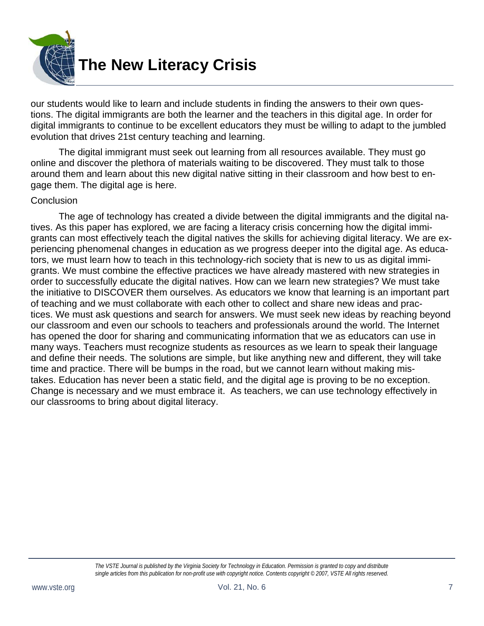

our students would like to learn and include students in finding the answers to their own questions. The digital immigrants are both the learner and the teachers in this digital age. In order for digital immigrants to continue to be excellent educators they must be willing to adapt to the jumbled evolution that drives 21st century teaching and learning.

The digital immigrant must seek out learning from all resources available. They must go online and discover the plethora of materials waiting to be discovered. They must talk to those around them and learn about this new digital native sitting in their classroom and how best to engage them. The digital age is here.

#### **Conclusion**

The age of technology has created a divide between the digital immigrants and the digital natives. As this paper has explored, we are facing a literacy crisis concerning how the digital immigrants can most effectively teach the digital natives the skills for achieving digital literacy. We are experiencing phenomenal changes in education as we progress deeper into the digital age. As educators, we must learn how to teach in this technology-rich society that is new to us as digital immigrants. We must combine the effective practices we have already mastered with new strategies in order to successfully educate the digital natives. How can we learn new strategies? We must take the initiative to DISCOVER them ourselves. As educators we know that learning is an important part of teaching and we must collaborate with each other to collect and share new ideas and practices. We must ask questions and search for answers. We must seek new ideas by reaching beyond our classroom and even our schools to teachers and professionals around the world. The Internet has opened the door for sharing and communicating information that we as educators can use in many ways. Teachers must recognize students as resources as we learn to speak their language and define their needs. The solutions are simple, but like anything new and different, they will take time and practice. There will be bumps in the road, but we cannot learn without making mistakes. Education has never been a static field, and the digital age is proving to be no exception. Change is necessary and we must embrace it. As teachers, we can use technology effectively in our classrooms to bring about digital literacy.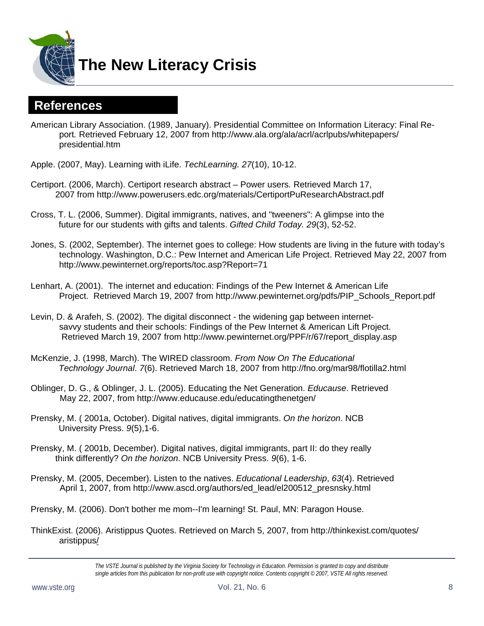

**The New Literacy Crisis** 

### **References**

- American Library Association. (1989, January). Presidential Committee on Information Literacy: Final Report*.* Retrieved February 12, 2007 from http://www.ala.org/ala/acrl/acrlpubs/whitepapers/ presidential.htm
- Apple. (2007, May). Learning with iLife. *TechLearning. 27*(10), 10-12.
- Certiport. (2006, March). Certiport research abstract Power users*.* Retrieved March 17, 2007 from http://www.powerusers.edc.org/materials/CertiportPuResearchAbstract.pdf
- Cross, T. L. (2006, Summer). Digital immigrants, natives, and "tweeners": A glimpse into the future for our students with gifts and talents. *Gifted Child Today. 29*(3), 52-52.
- Jones, S. (2002, September). The internet goes to college: How students are living in the future with today's technology. Washington, D.C.: Pew Internet and American Life Project. Retrieved May 22, 2007 from http://www.pewinternet.org/reports/toc.asp?Report=71
- Lenhart, A. (2001). The internet and education: Findings of the Pew Internet & American Life Project. Retrieved March 19, 2007 from http://www.pewinternet.org/pdfs/PIP\_Schools\_Report.pdf
- Levin, D. & Arafeh, S. (2002). The digital disconnect the widening gap between internetsavvy students and their schools: Findings of the Pew Internet & American Lift Project. Retrieved March 19, 2007 from http://www.pewinternet.org/PPF/r/67/report\_display.asp
- McKenzie, J. (1998, March). The WIRED classroom. *From Now On The Educational Technology Journal*. *7*(6). Retrieved March 18, 2007 from http://fno.org/mar98/flotilla2.html
- Oblinger, D. G., & Oblinger, J. L. (2005). Educating the Net Generation. *Educause*. Retrieved May 22, 2007, from http://www.educause.edu/educatingthenetgen/
- Prensky, M. ( 2001a, October). Digital natives, digital immigrants. *On the horizon*. NCB University Press. *9*(5),1-6.
- Prensky, M. ( 2001b, December). Digital natives, digital immigrants, part II: do they really think differently? *On the horizon*. NCB University Press. *9*(6), 1-6.
- Prensky, M. (2005, December). Listen to the natives. *Educational Leadership*, *63*(4). Retrieved April 1, 2007, from http://www.ascd.org/authors/ed\_lead/el200512\_presnsky.html
- Prensky, M. (2006). Don't bother me mom--I'm learning! St. Paul, MN: Paragon House.
- ThinkExist. (2006). Aristippus Quotes. Retrieved on March 5, 2007, from http://thinkexist.com/quotes/ aristippus/

*The VSTE Journal is published by the Virginia Society for Technology in Education. Permission is granted to copy and distribute single articles from this publication for non-profit use with copyright notice. Contents copyright © 2007, VSTE All rights reserved.*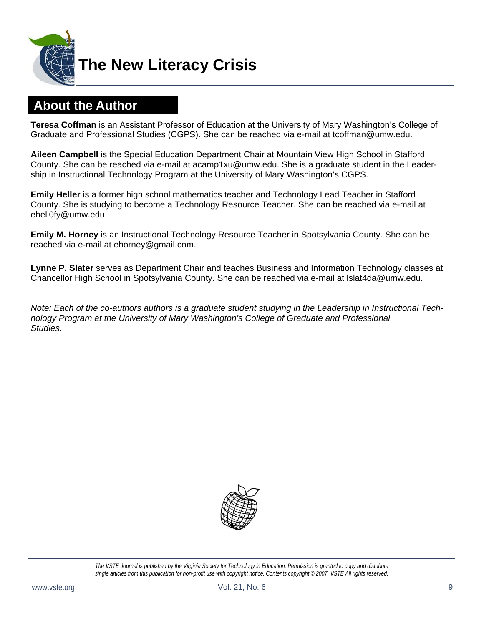

## **About the Author**

**Teresa Coffman** is an Assistant Professor of Education at the University of Mary Washington's College of Graduate and Professional Studies (CGPS). She can be reached via e-mail at tcoffman@umw.edu.

**Aileen Campbell** is the Special Education Department Chair at Mountain View High School in Stafford County. She can be reached via e-mail at acamp1xu@umw.edu. She is a graduate student in the Leadership in Instructional Technology Program at the University of Mary Washington's CGPS.

**Emily Heller** is a former high school mathematics teacher and Technology Lead Teacher in Stafford County. She is studying to become a Technology Resource Teacher. She can be reached via e-mail at ehell0fy@umw.edu.

**Emily M. Horney** is an Instructional Technology Resource Teacher in Spotsylvania County. She can be reached via e-mail at ehorney@gmail.com.

**Lynne P. Slater** serves as Department Chair and teaches Business and Information Technology classes at Chancellor High School in Spotsylvania County. She can be reached via e-mail at lslat4da@umw.edu.

*Note: Each of the co-authors authors is a graduate student studying in the Leadership in Instructional Technology Program at the University of Mary Washington's College of Graduate and Professional Studies.* 



*The VSTE Journal is published by the Virginia Society for Technology in Education. Permission is granted to copy and distribute single articles from this publication for non-profit use with copyright notice. Contents copyright © 2007, VSTE All rights reserved.*